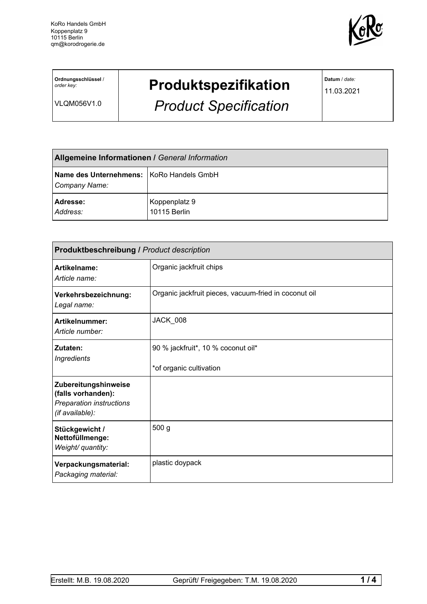

**Ordnungsschlüssel** / *order key:*

VLQM056V1.0

## **Produktspezifikation**

*Product Specification*

**Datum** / *date:*

11.03.2021

| Allgemeine Informationen / General Information              |                               |  |
|-------------------------------------------------------------|-------------------------------|--|
| Name des Unternehmens:   KoRo Handels GmbH<br>Company Name: |                               |  |
| <b>Adresse:</b><br>Address:                                 | Koppenplatz 9<br>10115 Berlin |  |

| Produktbeschreibung / Product description                                                        |                                                               |  |
|--------------------------------------------------------------------------------------------------|---------------------------------------------------------------|--|
| Artikelname:<br>Article name:                                                                    | Organic jackfruit chips                                       |  |
| Verkehrsbezeichnung:<br>Legal name:                                                              | Organic jackfruit pieces, vacuum-fried in coconut oil         |  |
| Artikelnummer:<br>Article number:                                                                | JACK_008                                                      |  |
| Zutaten:<br><b>Ingredients</b>                                                                   | 90 % jackfruit*, 10 % coconut oil*<br>*of organic cultivation |  |
| Zubereitungshinweise<br>(falls vorhanden):<br><b>Preparation instructions</b><br>(if available): |                                                               |  |
| Stückgewicht /<br>Nettofüllmenge:<br>Weight/ quantity:                                           | 500 <sub>g</sub>                                              |  |
| Verpackungsmaterial:<br>Packaging material:                                                      | plastic doypack                                               |  |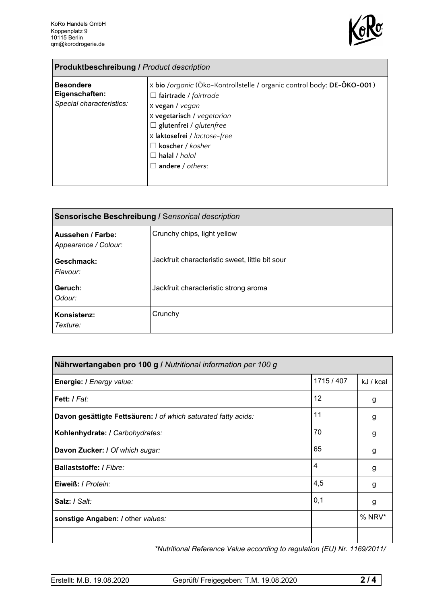

| <b>Produktbeschreibung / Product description</b>               |                                                                                                                                                                                                                                                                                                         |  |  |
|----------------------------------------------------------------|---------------------------------------------------------------------------------------------------------------------------------------------------------------------------------------------------------------------------------------------------------------------------------------------------------|--|--|
| <b>Besondere</b><br>Eigenschaften:<br>Special characteristics: | x bio /organic (Öko-Kontrollstelle / organic control body: DE-ÖKO-001)<br>$\Box$ fairtrade / fairtrade<br>x vegan / vegan<br>x vegetarisch / vegetarian<br>$\Box$ glutenfrei / glutenfree<br>x laktosefrei / lactose-free<br>$\Box$ koscher / kosher<br>$\Box$ halal / halal<br>$\Box$ andere / others: |  |  |

| Sensorische Beschreibung / Sensorical description |                                                 |  |
|---------------------------------------------------|-------------------------------------------------|--|
| Aussehen / Farbe:<br>Appearance / Colour:         | Crunchy chips, light yellow                     |  |
| Geschmack:<br>Flavour:                            | Jackfruit characteristic sweet, little bit sour |  |
| Geruch:<br>Odour:                                 | Jackfruit characteristic strong aroma           |  |
| Konsistenz:<br>Texture:                           | Crunchy                                         |  |

| Nährwertangaben pro 100 g / Nutritional information per 100 g  |            |           |  |
|----------------------------------------------------------------|------------|-----------|--|
| Energie: I Energy value:                                       | 1715 / 407 | kJ / kcal |  |
| Fett: / Fat:                                                   | 12         | g         |  |
| Davon gesättigte Fettsäuren: I of which saturated fatty acids: | 11         | g         |  |
| Kohlenhydrate: I Carbohydrates:                                | 70         | g         |  |
| Davon Zucker: I Of which sugar:                                | 65         | g         |  |
| Ballaststoffe: / Fibre:                                        | 4          | g         |  |
| Eiweiß: / Protein:                                             | 4,5        | g         |  |
| Salz: / Salt:                                                  | 0,1        | g         |  |
| sonstige Angaben: / other values:                              |            | % NRV*    |  |
|                                                                |            |           |  |

*\*Nutritional Reference Value according to regulation (EU) Nr. 1169/2011/*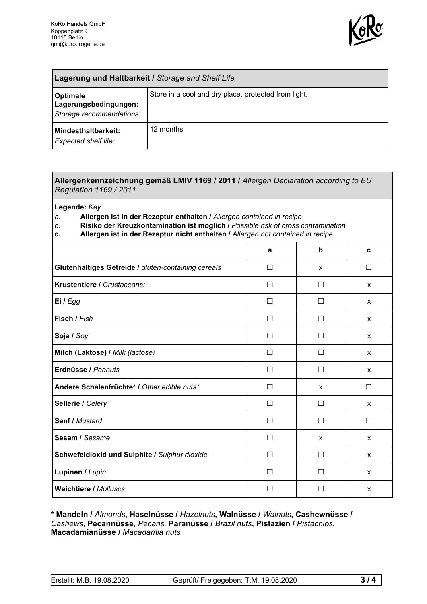

| Lagerung und Haltbarkeit / Storage and Shelf Life             |                                                      |  |
|---------------------------------------------------------------|------------------------------------------------------|--|
| Optimale<br>Lagerungsbedingungen:<br>Storage recommendations: | Store in a cool and dry place, protected from light. |  |
| Mindesthaltbarkeit:<br>Expected shelf life:                   | 12 months                                            |  |

## **Allergenkennzeichnung gemäß LMIV 1169 / 2011 /** *Allergen Declaration according to EU Regulation 1169 / 2011*

**Legende:** *Key*

*a.* **Allergen ist in der Rezeptur enthalten /** *Allergen contained in recipe*

- *b.* **Risiko der Kreuzkontamination ist möglich /** *Possible risk of cross contamination*
- **c. Allergen ist in der Rezeptur nicht enthalten /** *Allergen not contained in recipe*

|                                                     | a            | $\mathbf b$       | C       |
|-----------------------------------------------------|--------------|-------------------|---------|
| Glutenhaltiges Getreide / gluten-containing cereals | П            | X                 | П       |
| Krustentiere / Crustaceans:                         | $\mathsf{L}$ |                   | X       |
| Ei / Egg                                            |              |                   | X       |
| Fisch / Fish                                        |              |                   | X       |
| Soja / Soy                                          |              |                   | X       |
| Milch (Laktose) / Milk (lactose)                    | П            | $\vert \ \ \vert$ | X       |
| Erdnüsse / Peanuts                                  | П            | $\perp$           | X       |
| Andere Schalenfrüchte* I Other edible nuts*         | П            | X                 | $\perp$ |
| Sellerie / Celery                                   | $\mathsf{L}$ |                   | X       |
| Senf / Mustard                                      | П            | П                 | $\Box$  |
| Sesam / Sesame                                      |              | X                 | X       |
| Schwefeldioxid und Sulphite / Sulphur dioxide       | П            | $\vert \ \ \vert$ | X       |
| Lupinen / Lupin                                     | $\mathbf{I}$ |                   | X       |
| <b>Weichtiere / Molluscs</b>                        |              |                   | X       |

**\* Mandeln /** *Almonds***, Haselnüsse /** *Hazelnuts***, Walnüsse /** *Walnuts***, Cashewnüsse /** *Cashews***, Pecannüsse,** *Pecans,* **Paranüsse /** *Brazil nuts***, Pistazien /** *Pistachios***, Macadamianüsse /** *Macadamia nuts*